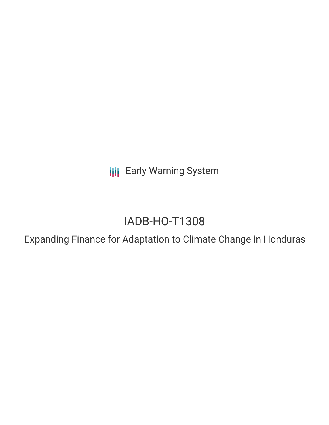**III** Early Warning System

# IADB-HO-T1308

Expanding Finance for Adaptation to Climate Change in Honduras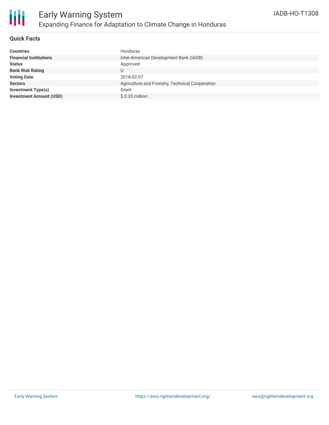

### **Quick Facts**

| <b>Countries</b>               | Honduras                                        |
|--------------------------------|-------------------------------------------------|
| <b>Financial Institutions</b>  | Inter-American Development Bank (IADB)          |
| <b>Status</b>                  | Approved                                        |
| <b>Bank Risk Rating</b>        | U                                               |
| <b>Voting Date</b>             | 2018-02-07                                      |
| <b>Sectors</b>                 | Agriculture and Forestry, Technical Cooperation |
| <b>Investment Type(s)</b>      | Grant                                           |
| <b>Investment Amount (USD)</b> | $$0.35$ million                                 |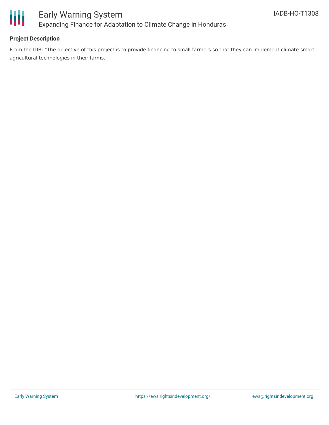

### **Project Description**

From the IDB: "The objective of this project is to provide financing to small farmers so that they can implement climate smart agricultural technologies in their farms."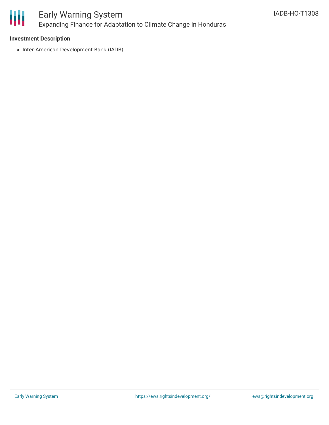

# Early Warning System Expanding Finance for Adaptation to Climate Change in Honduras

### **Investment Description**

• Inter-American Development Bank (IADB)